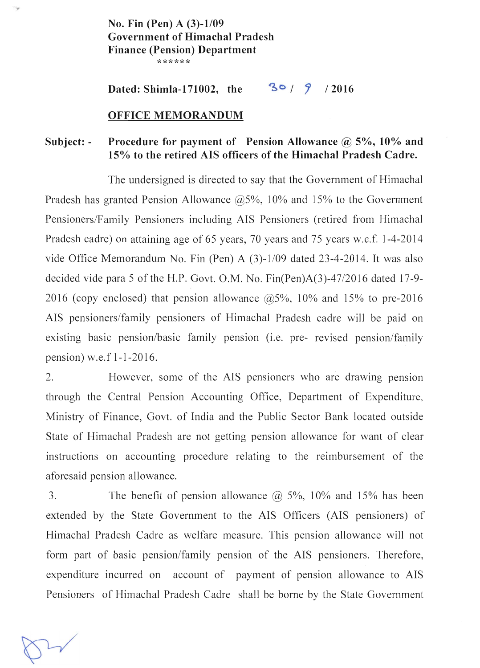No. Fin (Pen) A  $(3)-1/09$ Government of Himachal Pradesh Finance (Pension) Department \*\*\*\*\*\*

Dated: Shimla-171002, the  $30/9/2016$ 

#### OFFICE MEMORANDUM

#### Subject: - Procedure for payment of Pension Allowance  $\omega$  5%, 10% and 15% to the retired AIS officers of the Himachal Pradesh Cadre.

The undersigned is directed to say that the Government of Himachal Pradesh has granted Pension Allowance  $\omega$ 5%, 10% and 15% to the Government Pensioners/Family Pensioners including AIS Pensioners (retired from Himachal Pradesh cadre) on attaining age of 65 years, 70 years and 75 years w.e.f. 1-4-2014 vide Office Memorandum No. Fin (Pen) A  $(3)$ -1/09 dated 23-4-2014. It was also decided vide para 5 of the H.P. Govt. O.M. No. Fin(Pen)A(3)-47/2016 dated 17-9- 2016 (copy enclosed) that pension allowance  $\omega$  5%, 10% and 15% to pre-2016 AIS pensioners/family pensioners of Himachal Pradesh cadre will be paid on existing basic pension/basic family pension (i.e. pre- revised pension/family pension) w.e.f 1-1-2016.

2. However, some of the AIS pensioners who are drawing pension through the Central Pension Accounting Office, Department of Expenditure, Ministry of Finance, Govt. of India and the Public Sector Bank located outside State of Himachal Pradesh are not getting pension allowance for want of clear instructions on accounting procedure relating to the reimbursement of the aforesaid pension allowance.

3. The benefit of pension allowance  $\omega$  5%, 10% and 15% has been extended by the State Government to the AIS Officers (AIS pensioners) of Himachal Pradesh Cadre as welfare measure. This pension allowance will not form part of basic pension/family pension of the AIS pensioners. Therefore, expenditure incurred on account of payment of pension allowance to AIS Pensioners of Himachal Pradesh Cadre shall be borne by the State Government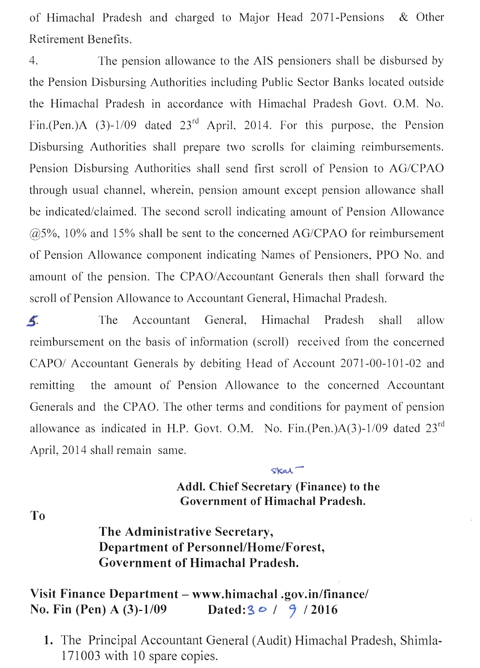of Himachal Pradesh and charged to Major Head 2071-Pensions & Other Retirement Benefits.

4. The pension allowance to the AIS pensioners shall be disbursed by the Pension Disbursing Authorities including Public Sector Banks located outside the Himachal Pradesh in accordance with Himachal Pradesh Govt. O.M. No. Fin.(Pen.)A (3)-1/09 dated  $23<sup>rd</sup>$  April, 2014. For this purpose, the Pension Disbursing Authorities shall prepare two scrolls for claiming reimbursements. Pension Disbursing Authorities shall send first scroll of Pension to AG/CPAO through usual channel, wherein, pension amount except pension allowance shall be indicated/claimed. The second scroll indicating amount of Pension Allowance  $\omega$  ( $\omega$ 5%, 10% and 15% shall be sent to the concerned AG/CPAO for reimbursement of Pension Allowance component indicating Names of Pensioners, PPO No. and amount of the pension. The CPAO/Accountant Generals then shall forward the scroll of Pension Allowance to Accountant General, Himachal Pradesh.

 $\overline{\mathbf{A}}$ The Accountant General, Himachal Pradesh shall allow reimbursement on the basis of information (scroll) received from the concerned CAPO/ Accountant Generals by debiting Head of Account 2071-00-101-02 and remitting the amount of Pension Allowance to the concerned Accountant Generals and the CPAO. The other terms and conditions for payment of pension allowance as indicated in H.P. Govt. O.M. No. Fin.(Pen.)A(3)-1/09 dated  $23<sup>rd</sup>$ April, 2014 shall remain same.

### **Addl. Chief Secretary (Finance) to the Government of Himachal Pradesh.**

 $skat$ 

**To** 

# **The Administrative Secretary, Department of PersonnellHome/Forest, Government of Himachal Pradesh.**

## **Visit Finance Department - www.himachal.gov.in/finance/ No. Fin (Pen) A (3)-1/09** Dated: **3** *o* / **9** / 2016

1. The Principal Accountant General (Audit) Himachal Pradesh, Shimla-171003 with 10 spare copies.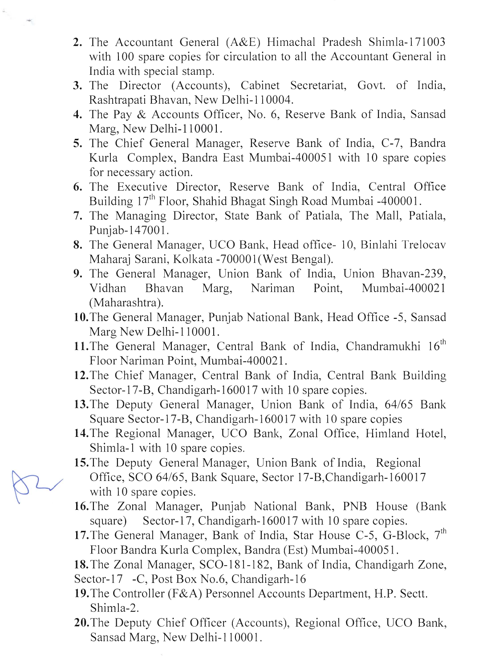- 2. The Accountant General (A&E) Himachal Pradesh Shimla-171003 with IOO spare copies for circulation to all the Accountant General in India with special stamp.
- 3. The Director (Accounts), Cabinet Secretariat, Govt. of India, Rashtrapati Bhavan, New Delhi-II 0004.
- 4. The Pay & Accounts Officer, No.6, Reserve Bank of India, Sansad Marg, New Delhi-110001.
- 5. The Chief General Manager, Reserve Bank of India, C-7, Bandra Kurla Complex, Bandra East Mumbai-400051 with 10 spare copies for necessary action.
- 6. The Executive Director, Reserve Bank of India, Central Office Building  $17<sup>th</sup>$  Floor, Shahid Bhagat Singh Road Mumbai -400001.
- 7. The Managing Director, State Bank of Patiala, The Mall, Patiala, Punjab-147001.
- 8. The General Manager, UCO Bank, Head office- 10, Binlahi Trelocav Maharaj Sarani, Kolkata -700001(West Bengal).
- 9. The General Manager, Union Bank of India, Union Bhavan-239, Vidhan Bhavan Marg, Nariman Point, Mumbai-400021 (Maharashtra).
- 10.The General Manager, Punjab National Bank, Head Office -5, Sansad Marg New Delhi-110001.
- 11. The General Manager, Central Bank of India, Chandramukhi 16<sup>th</sup> Floor Nariman Point, Mumbai-400021.
- 12. The Chief Manager, Central Bank of India, Central Bank Building Sector-17-B, Chandigarh-160017 with 10 spare copies.
- 13.The Deputy General Manager, Union Bank of India, 64/65 Bank Square Sector-17-B, Chandigarh-160017 with 10 spare copies
- 14.The Regional Manager, UCO Bank, Zonal Office, Himland Hotel, Shimla-l with 10 spare copies.
- 15. The Deputy General Manager, Union Bank of India, Regional Office, SCO 64/65, Bank Square, Sector 17-B, Chandigarh-160017 with 10 spare copies.
- 16. The Zonal Manager, Punjab National Bank, PNB House (Bank square) Sector-17, Chandigarh-160017 with 10 spare copies.
- 17. The General Manager, Bank of India, Star House C-5, G-Block, 7<sup>th</sup> Floor Bandra Kurla Complex, Bandra (Est) Mumbai-400051.
- 18. The Zonal Manager, SCO-181-182, Bank of India, Chandigarh Zone, Sector-17 -C, Post Box No.6, Chandigarh-16
- 19.The Controller (F&A) Personnel Accounts Department, H.P. Sectt. Shimla-2.
- 20.The Deputy Chief Officer (Accounts), Regional Office, UCO Bank, Sansad Marg, New Delhi-110001.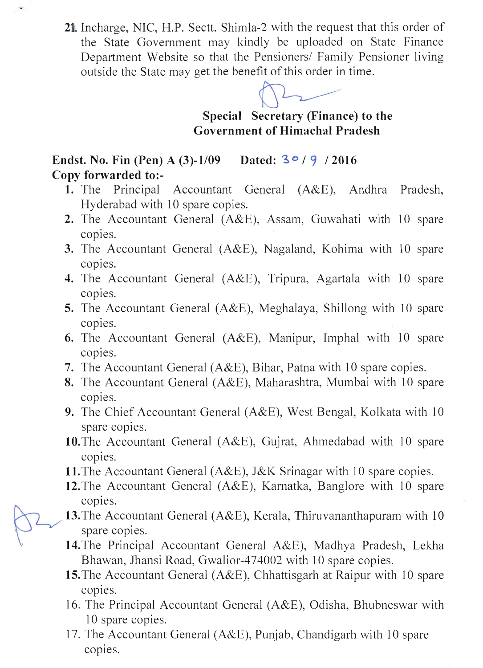21 Incharge, NIC, H.P. Sectt. Shimla-2 with the request that this order of the State Government may kindly be uploaded on State Finance Department Website so that the Pensioners/ Family Pensioner living outside the State may get the benefit of this order in time. where the discreption of the term of the president of this order in time.



Special Secretary (Finance) to the Government of Himachal Pradesh

Endst. No. Fin (Pen) A (3)-1/09 Dated:  $3°/9/2016$ Copy forwarded to:-

- 1. The Principal Accountant General (A&E), Andhra Pradesh, Hyderabad with 10 spare copies.
- 2. The Accountant General (A&E), Assam, Guwahati with 10 spare copies.
- 3. The Accountant General (A&E), Nagaland, Kohima with 10 spare copies.
- 4. The Accountant General (A&E), Tripura, Agartala with 10 spare copies.
- 5. The Accountant General (A&E), Meghalaya, Shillong with 10 spare copies.
- 6. The Accountant General (A&E), Manipur, Imphal with 10 spare copies.
- 7. The Accountant General (A&E), Bihar, Patna with 10 spare copies.
- 8. The Accountant General (A&E), Maharashtra, Mumbai with 10 spare copies.
- 9. The Chief Accountant General (A&E), West Bengal, Kolkata with 10 spare copies.
- 10. The Accountant General (A&E), Gujrat, Ahmedabad with 10 spare copies.
- 11. The Accountant General (A&E), J&K Srinagar with 10 spare copies.
- 12. The Accountant General (A&E), Karnatka, Banglore with 10 spare copies.
- 13. The Accountant General (A&E), Kerala, Thiruvananthapuram with  $10$ spare copies.
- 14.The Principal Accountant General A&E), Madhya Pradesh, Lekha Bhawan, Jhansi Road, Gwalior-474002 with 10 spare copies.
- 15. The Accountant General (A&E), Chhattisgarh at Raipur with 10 spare copies.
- 16. The Principal Accountant General (A&E), Odisha, Bhubneswar with 10 spare copies.
- 17. The Accountant General (A&E), Punjab, Chandigarh with 10 spare copies.